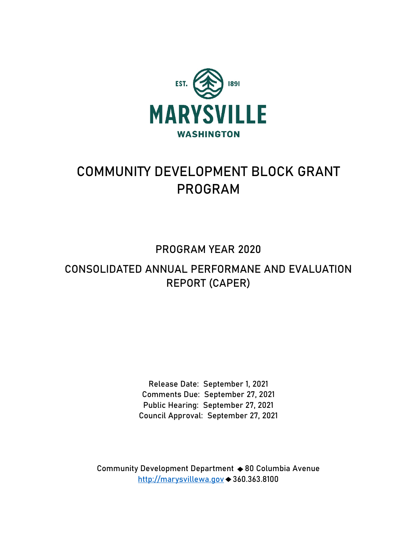

# **COMMUNITY DEVELOPMENT BLOCK GRANT PROGRAM**

## **PROGRAM YEAR 2020**

## **CONSOLIDATED ANNUAL PERFORMANE AND EVALUATION REPORT (CAPER)**

**Release Date: September 1, 2021 Comments Due: September 27, 2021 Public Hearing: September 27, 2021 Council Approval: September 27, 2021** 

**Community Development Department 80 Columbia Avenue http://marysvillewa.gov 360.363.8100**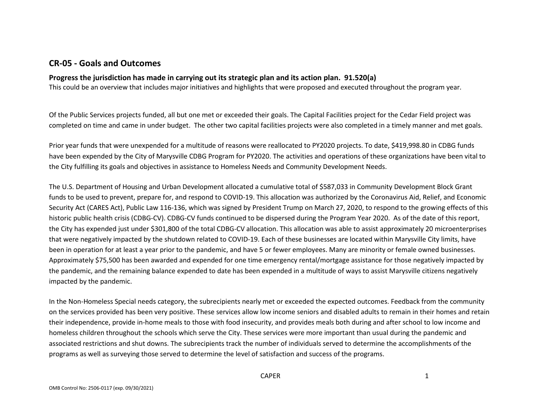## **CR-05 - Goals and Outcomes**

#### **Progress the jurisdiction has made in carrying out its strategic plan and its action plan. 91.520(a)**

This could be an overview that includes major initiatives and highlights that were proposed and executed throughout the program year.

Of the Public Services projects funded, all but one met or exceeded their goals. The Capital Facilities project for the Cedar Field project was completed on time and came in under budget. The other two capital facilities projects were also completed in a timely manner and met goals.

Prior year funds that were unexpended for a multitude of reasons were reallocated to PY2020 projects. To date, \$419,998.80 in CDBG funds have been expended by the City of Marysville CDBG Program for PY2020. The activities and operations of these organizations have been vital to the City fulfilling its goals and objectives in assistance to Homeless Needs and Community Development Needs.

The U.S. Department of Housing and Urban Development allocated a cumulative total of \$587,033 in Community Development Block Grant funds to be used to prevent, prepare for, and respond to COVID-19. This allocation was authorized by the Coronavirus Aid, Relief, and Economic Security Act (CARES Act), Public Law 116-136, which was signed by President Trump on March 27, 2020, to respond to the growing effects of this historic public health crisis (CDBG-CV). CDBG-CV funds continued to be dispersed during the Program Year 2020. As of the date of this report, the City has expended just under \$301,800 of the total CDBG-CV allocation. This allocation was able to assist approximately 20 microenterprises that were negatively impacted by the shutdown related to COVID-19. Each of these businesses are located within Marysville City limits, have been in operation for at least a year prior to the pandemic, and have 5 or fewer employees. Many are minority or female owned businesses. Approximately \$75,500 has been awarded and expended for one time emergency rental/mortgage assistance for those negatively impacted by the pandemic, and the remaining balance expended to date has been expended in a multitude of ways to assist Marysville citizens negatively impacted by the pandemic.

In the Non-Homeless Special needs category, the subrecipients nearly met or exceeded the expected outcomes. Feedback from the community on the services provided has been very positive. These services allow low income seniors and disabled adults to remain in their homes and retain their independence, provide in-home meals to those with food insecurity, and provides meals both during and after school to low income and homeless children throughout the schools which serve the City. These services were more important than usual during the pandemic and associated restrictions and shut downs. The subrecipients track the number of individuals served to determine the accomplishments of the programs as well as surveying those served to determine the level of satisfaction and success of the programs.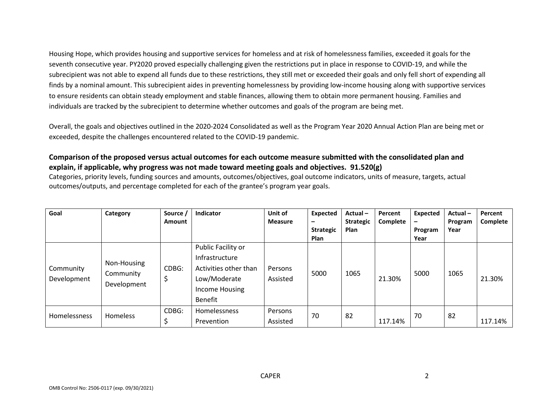Housing Hope, which provides housing and supportive services for homeless and at risk of homelessness families, exceeded it goals for the seventh consecutive year. PY2020 proved especially challenging given the restrictions put in place in response to COVID-19, and while the subrecipient was not able to expend all funds due to these restrictions, they still met or exceeded their goals and only fell short of expending all finds by a nominal amount. This subrecipient aides in preventing homelessness by providing low-income housing along with supportive services to ensure residents can obtain steady employment and stable finances, allowing them to obtain more permanent housing. Families and individuals are tracked by the subrecipient to determine whether outcomes and goals of the program are being met.

Overall, the goals and objectives outlined in the 2020-2024 Consolidated as well as the Program Year 2020 Annual Action Plan are being met or exceeded, despite the challenges encountered related to the COVID-19 pandemic.

#### **Comparison of the proposed versus actual outcomes for each outcome measure submitted with the consolidated plan and explain, if applicable, why progress was not made toward meeting goals and objectives. 91.520(g)**

Categories, priority levels, funding sources and amounts, outcomes/objectives, goal outcome indicators, units of measure, targets, actual outcomes/outputs, and percentage completed for each of the grantee's program year goals.

| Goal                     | Category                                | Source /<br><b>Amount</b> | Indicator                                                                                                         | Unit of<br><b>Measure</b> | Expected<br>-<br><b>Strategic</b><br><b>Plan</b> | Actual-<br><b>Strategic</b><br>Plan | Percent<br>Complete | <b>Expected</b><br>-<br>Program<br>Year | Actual-<br>Program<br>Year | Percent<br>Complete |
|--------------------------|-----------------------------------------|---------------------------|-------------------------------------------------------------------------------------------------------------------|---------------------------|--------------------------------------------------|-------------------------------------|---------------------|-----------------------------------------|----------------------------|---------------------|
| Community<br>Development | Non-Housing<br>Community<br>Development | CDBG:                     | Public Facility or<br>Infrastructure<br>Activities other than<br>Low/Moderate<br>Income Housing<br><b>Benefit</b> | Persons<br>Assisted       | 5000                                             | 1065                                | 21.30%              | 5000                                    | 1065                       | 21.30%              |
| <b>Homelessness</b>      | <b>Homeless</b>                         | CDBG:                     | <b>Homelessness</b><br>Prevention                                                                                 | Persons<br>Assisted       | 70                                               | 82                                  | 117.14%             | 70                                      | 82                         | 117.14%             |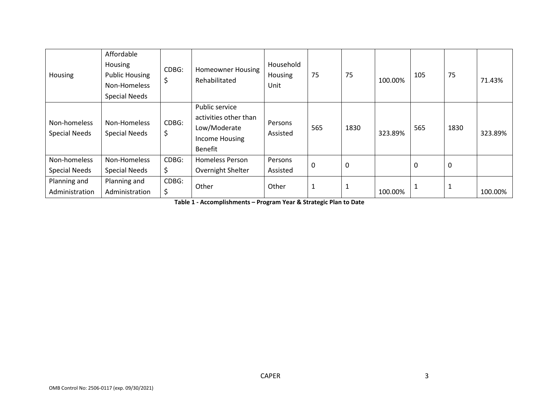| Housing                              | Affordable<br>Housing<br><b>Public Housing</b><br>Non-Homeless<br><b>Special Needs</b> | CDBG:<br>\$ | <b>Homeowner Housing</b><br>Rehabilitated                                            | Household<br>Housing<br>Unit | 75           | 75           | 100.00% | 105 | 75   | 71.43%  |
|--------------------------------------|----------------------------------------------------------------------------------------|-------------|--------------------------------------------------------------------------------------|------------------------------|--------------|--------------|---------|-----|------|---------|
| Non-homeless<br><b>Special Needs</b> | Non-Homeless<br><b>Special Needs</b>                                                   | CDBG:<br>\$ | Public service<br>activities other than<br>Low/Moderate<br>Income Housing<br>Benefit | Persons<br>Assisted          | 565          | 1830         | 323.89% | 565 | 1830 | 323.89% |
| Non-homeless<br><b>Special Needs</b> | Non-Homeless<br><b>Special Needs</b>                                                   | CDBG:<br>\$ | <b>Homeless Person</b><br>Overnight Shelter                                          | Persons<br>Assisted          | $\mathbf 0$  | $\mathbf 0$  |         | 0   | 0    |         |
| Planning and<br>Administration       | Planning and<br>Administration                                                         | CDBG:<br>\$ | Other                                                                                | Other                        | $\mathbf{1}$ | $\mathbf{1}$ | 100.00% |     |      | 100.00% |

**Table 1 - Accomplishments – Program Year & Strategic Plan to Date**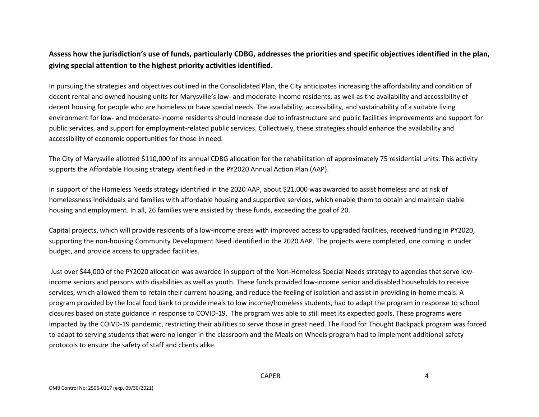## **Assess how the jurisdiction's use of funds, particularly CDBG, addresses the priorities and specific objectives identified in the plan, giving special attention to the highest priority activities identified.**

In pursuing the strategies and objectives outlined in the Consolidated Plan, the City anticipates increasing the affordability and condition of decent rental and owned housing units for Marysville's low- and moderate-income residents, as well as the availability and accessibility of decent housing for people who are homeless or have special needs. The availability, accessibility, and sustainability of a suitable living environment for low- and moderate-income residents should increase due to infrastructure and public facilities improvements and support for public services, and support for employment-related public services. Collectively, these strategies should enhance the availability and accessibility of economic opportunities for those in need.

The City of Marysville allotted \$110,000 of its annual CDBG allocation for the rehabilitation of approximately 75 residential units. This activity supports the Affordable Housing strategy identified in the PY2020 Annual Action Plan (AAP).

In support of the Homeless Needs strategy identified in the 2020 AAP, about \$21,000 was awarded to assist homeless and at risk of homelessness individuals and families with affordable housing and supportive services, which enable them to obtain and maintain stable housing and employment. In all, 26 families were assisted by these funds, exceeding the goal of 20.

Capital projects, which will provide residents of a low-income areas with improved access to upgraded facilities, received funding in PY2020, supporting the non-housing Community Development Need identified in the 2020 AAP. The projects were completed, one coming in under budget, and provide access to upgraded facilities.

 Just over \$44,000 of the PY2020 allocation was awarded in support of the Non-Homeless Special Needs strategy to agencies that serve lowincome seniors and persons with disabilities as well as youth. These funds provided low-income senior and disabled households to receive services, which allowed them to retain their current housing, and reduce the feeling of isolation and assist in providing in-home meals. A program provided by the local food bank to provide meals to low income/homeless students, had to adapt the program in response to school closures based on state guidance in response to COVID-19. The program was able to still meet its expected goals. These programs were impacted by the COIVD-19 pandemic, restricting their abilities to serve those in great need. The Food for Thought Backpack program was forced to adapt to serving students that were no longer in the classroom and the Meals on Wheels program had to implement additional safety protocols to ensure the safety of staff and clients alike.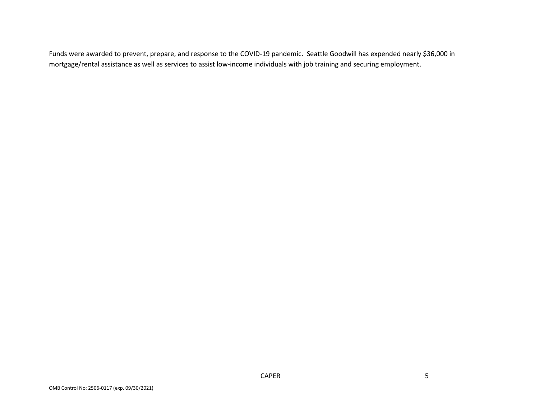Funds were awarded to prevent, prepare, and response to the COVID-19 pandemic. Seattle Goodwill has expended nearly \$36,000 in mortgage/rental assistance as well as services to assist low-income individuals with job training and securing employment.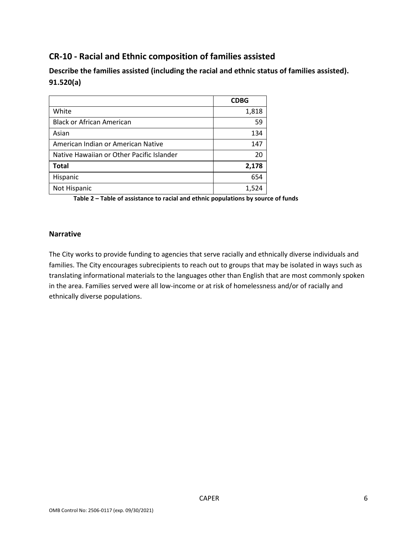## **CR-10 - Racial and Ethnic composition of families assisted**

**Describe the families assisted (including the racial and ethnic status of families assisted). 91.520(a)** 

|                                           | <b>CDBG</b> |
|-------------------------------------------|-------------|
| White                                     | 1,818       |
| <b>Black or African American</b>          | 59          |
| Asian                                     | 134         |
| American Indian or American Native        | 147         |
| Native Hawaiian or Other Pacific Islander | 20          |
| <b>Total</b>                              | 2,178       |
| Hispanic                                  | 654         |
| Not Hispanic                              | 1,524       |

**Table 2 – Table of assistance to racial and ethnic populations by source of funds** 

#### **Narrative**

The City works to provide funding to agencies that serve racially and ethnically diverse individuals and families. The City encourages subrecipients to reach out to groups that may be isolated in ways such as translating informational materials to the languages other than English that are most commonly spoken in the area. Families served were all low-income or at risk of homelessness and/or of racially and ethnically diverse populations.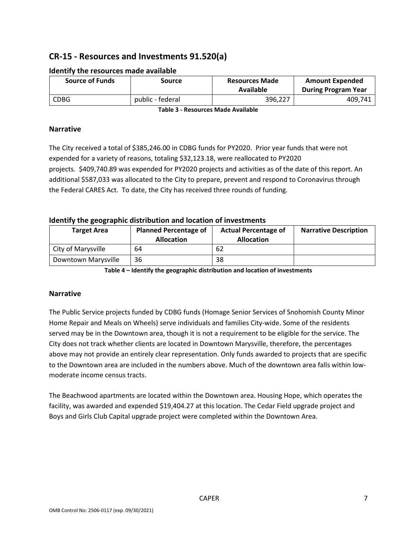## **CR-15 - Resources and Investments 91.520(a)**

| <b>Source of Funds</b> | Source           | <b>Resources Made</b><br>Available | <b>Amount Expended</b><br><b>During Program Year</b> |  |
|------------------------|------------------|------------------------------------|------------------------------------------------------|--|
| <b>CDBG</b>            | public - federal | 396.227                            | 409,741                                              |  |

#### **Identify the resources made available**

**Table 3 - Resources Made Available** 

#### **Narrative**

The City received a total of \$385,246.00 in CDBG funds for PY2020. Prior year funds that were not expended for a variety of reasons, totaling \$32,123.18, were reallocated to PY2020 projects. \$409,740.89 was expended for PY2020 projects and activities as of the date of this report. An additional \$587,033 was allocated to the City to prepare, prevent and respond to Coronavirus through the Federal CARES Act. To date, the City has received three rounds of funding.

#### **Identify the geographic distribution and location of investments**

| <b>Target Area</b>  | <b>Planned Percentage of</b><br><b>Allocation</b> | <b>Actual Percentage of</b><br><b>Allocation</b> | <b>Narrative Description</b> |
|---------------------|---------------------------------------------------|--------------------------------------------------|------------------------------|
| City of Marysville  | 64                                                | 62                                               |                              |
| Downtown Marysville | 36                                                | 38                                               |                              |

**Table 4 – Identify the geographic distribution and location of investments** 

#### **Narrative**

The Public Service projects funded by CDBG funds (Homage Senior Services of Snohomish County Minor Home Repair and Meals on Wheels) serve individuals and families City-wide. Some of the residents served may be in the Downtown area, though it is not a requirement to be eligible for the service. The City does not track whether clients are located in Downtown Marysville, therefore, the percentages above may not provide an entirely clear representation. Only funds awarded to projects that are specific to the Downtown area are included in the numbers above. Much of the downtown area falls within lowmoderate income census tracts.

The Beachwood apartments are located within the Downtown area. Housing Hope, which operates the facility, was awarded and expended \$19,404.27 at this location. The Cedar Field upgrade project and Boys and Girls Club Capital upgrade project were completed within the Downtown Area.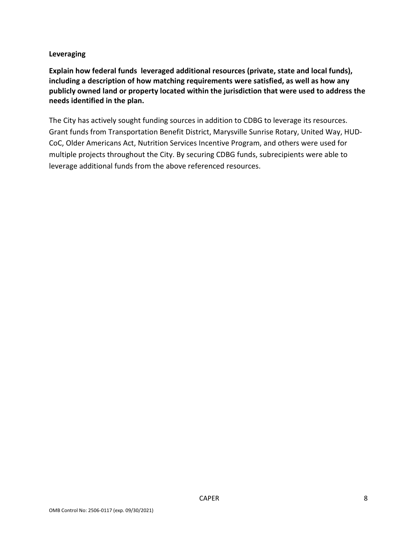#### **Leveraging**

**Explain how federal funds leveraged additional resources (private, state and local funds), including a description of how matching requirements were satisfied, as well as how any publicly owned land or property located within the jurisdiction that were used to address the needs identified in the plan.** 

The City has actively sought funding sources in addition to CDBG to leverage its resources. Grant funds from Transportation Benefit District, Marysville Sunrise Rotary, United Way, HUD-CoC, Older Americans Act, Nutrition Services Incentive Program, and others were used for multiple projects throughout the City. By securing CDBG funds, subrecipients were able to leverage additional funds from the above referenced resources.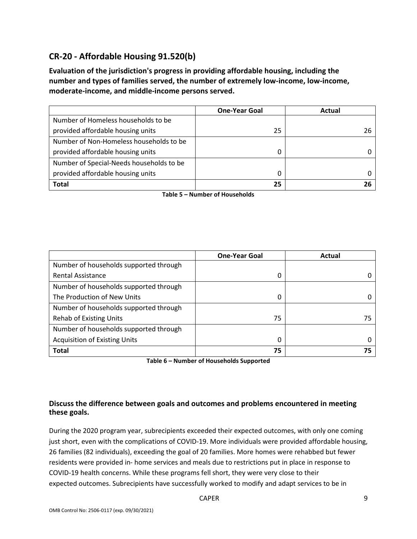## **CR-20 - Affordable Housing 91.520(b)**

**Evaluation of the jurisdiction's progress in providing affordable housing, including the number and types of families served, the number of extremely low-income, low-income, moderate-income, and middle-income persons served.** 

|                                          | <b>One-Year Goal</b> | Actual |
|------------------------------------------|----------------------|--------|
| Number of Homeless households to be      |                      |        |
| provided affordable housing units        | 25                   | 26     |
| Number of Non-Homeless households to be  |                      |        |
| provided affordable housing units        | 0                    |        |
| Number of Special-Needs households to be |                      |        |
| provided affordable housing units        | 0                    |        |
| <b>Total</b>                             | 25                   |        |

**Table 5 – Number of Households** 

|                                        | <b>One-Year Goal</b> | Actual |
|----------------------------------------|----------------------|--------|
| Number of households supported through |                      |        |
| <b>Rental Assistance</b>               | 0                    |        |
| Number of households supported through |                      |        |
| The Production of New Units            | 0                    |        |
| Number of households supported through |                      |        |
| <b>Rehab of Existing Units</b>         | 75                   | 75     |
| Number of households supported through |                      |        |
| <b>Acquisition of Existing Units</b>   | 0                    |        |
| <b>Total</b>                           | 75                   | 75     |

**Table 6 – Number of Households Supported** 

#### **Discuss the difference between goals and outcomes and problems encountered in meeting these goals.**

During the 2020 program year, subrecipients exceeded their expected outcomes, with only one coming just short, even with the complications of COVID-19. More individuals were provided affordable housing, 26 families (82 individuals), exceeding the goal of 20 families. More homes were rehabbed but fewer residents were provided in- home services and meals due to restrictions put in place in response to COVID-19 health concerns. While these programs fell short, they were very close to their expected outcomes. Subrecipients have successfully worked to modify and adapt services to be in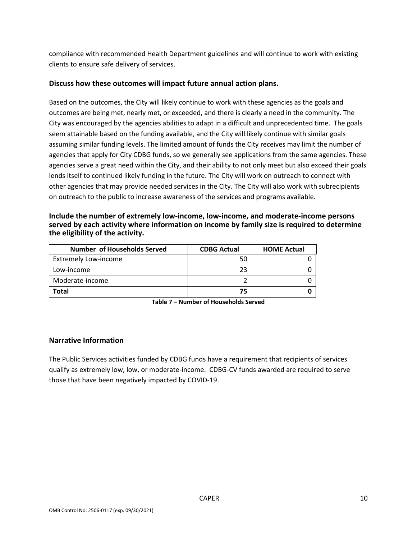compliance with recommended Health Department guidelines and will continue to work with existing clients to ensure safe delivery of services.

#### **Discuss how these outcomes will impact future annual action plans.**

Based on the outcomes, the City will likely continue to work with these agencies as the goals and outcomes are being met, nearly met, or exceeded, and there is clearly a need in the community. The City was encouraged by the agencies abilities to adapt in a difficult and unprecedented time. The goals seem attainable based on the funding available, and the City will likely continue with similar goals assuming similar funding levels. The limited amount of funds the City receives may limit the number of agencies that apply for City CDBG funds, so we generally see applications from the same agencies. These agencies serve a great need within the City, and their ability to not only meet but also exceed their goals lends itself to continued likely funding in the future. The City will work on outreach to connect with other agencies that may provide needed services in the City. The City will also work with subrecipients on outreach to the public to increase awareness of the services and programs available.

#### **Include the number of extremely low-income, low-income, and moderate-income persons served by each activity where information on income by family size is required to determine the eligibility of the activity.**

| <b>Number of Households Served</b> | <b>CDBG Actual</b> | <b>HOME Actual</b> |
|------------------------------------|--------------------|--------------------|
| <b>Extremely Low-income</b>        | 50                 |                    |
| Low-income                         | 23                 |                    |
| Moderate-income                    |                    |                    |
| Total                              | 75                 |                    |

| Table 7 – Number of Households Served |  |
|---------------------------------------|--|
|---------------------------------------|--|

#### **Narrative Information**

The Public Services activities funded by CDBG funds have a requirement that recipients of services qualify as extremely low, low, or moderate-income. CDBG-CV funds awarded are required to serve those that have been negatively impacted by COVID-19.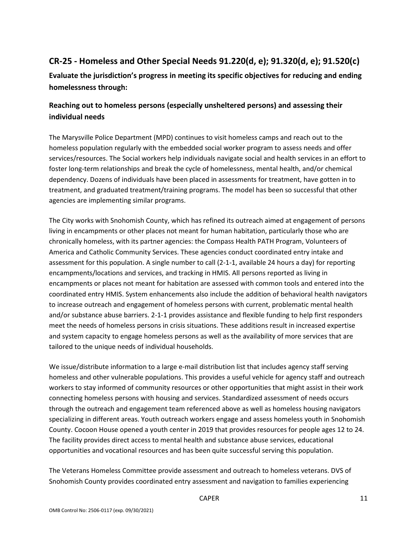## **CR-25 - Homeless and Other Special Needs 91.220(d, e); 91.320(d, e); 91.520(c)**

**Evaluate the jurisdiction's progress in meeting its specific objectives for reducing and ending homelessness through:** 

## **Reaching out to homeless persons (especially unsheltered persons) and assessing their individual needs**

The Marysville Police Department (MPD) continues to visit homeless camps and reach out to the homeless population regularly with the embedded social worker program to assess needs and offer services/resources. The Social workers help individuals navigate social and health services in an effort to foster long-term relationships and break the cycle of homelessness, mental health, and/or chemical dependency. Dozens of individuals have been placed in assessments for treatment, have gotten in to treatment, and graduated treatment/training programs. The model has been so successful that other agencies are implementing similar programs.

The City works with Snohomish County, which has refined its outreach aimed at engagement of persons living in encampments or other places not meant for human habitation, particularly those who are chronically homeless, with its partner agencies: the Compass Health PATH Program, Volunteers of America and Catholic Community Services. These agencies conduct coordinated entry intake and assessment for this population. A single number to call (2-1-1, available 24 hours a day) for reporting encampments/locations and services, and tracking in HMIS. All persons reported as living in encampments or places not meant for habitation are assessed with common tools and entered into the coordinated entry HMIS. System enhancements also include the addition of behavioral health navigators to increase outreach and engagement of homeless persons with current, problematic mental health and/or substance abuse barriers. 2-1-1 provides assistance and flexible funding to help first responders meet the needs of homeless persons in crisis situations. These additions result in increased expertise and system capacity to engage homeless persons as well as the availability of more services that are tailored to the unique needs of individual households.

We issue/distribute information to a large e-mail distribution list that includes agency staff serving homeless and other vulnerable populations. This provides a useful vehicle for agency staff and outreach workers to stay informed of community resources or other opportunities that might assist in their work connecting homeless persons with housing and services. Standardized assessment of needs occurs through the outreach and engagement team referenced above as well as homeless housing navigators specializing in different areas. Youth outreach workers engage and assess homeless youth in Snohomish County. Cocoon House opened a youth center in 2019 that provides resources for people ages 12 to 24. The facility provides direct access to mental health and substance abuse services, educational opportunities and vocational resources and has been quite successful serving this population.

The Veterans Homeless Committee provide assessment and outreach to homeless veterans. DVS of Snohomish County provides coordinated entry assessment and navigation to families experiencing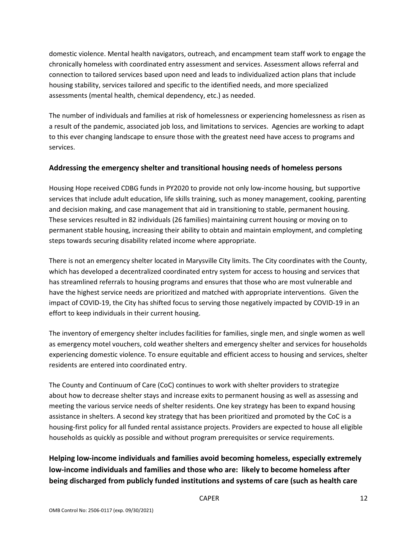domestic violence. Mental health navigators, outreach, and encampment team staff work to engage the chronically homeless with coordinated entry assessment and services. Assessment allows referral and connection to tailored services based upon need and leads to individualized action plans that include housing stability, services tailored and specific to the identified needs, and more specialized assessments (mental health, chemical dependency, etc.) as needed.

The number of individuals and families at risk of homelessness or experiencing homelessness as risen as a result of the pandemic, associated job loss, and limitations to services. Agencies are working to adapt to this ever changing landscape to ensure those with the greatest need have access to programs and services.

#### **Addressing the emergency shelter and transitional housing needs of homeless persons**

Housing Hope received CDBG funds in PY2020 to provide not only low-income housing, but supportive services that include adult education, life skills training, such as money management, cooking, parenting and decision making, and case management that aid in transitioning to stable, permanent housing. These services resulted in 82 individuals (26 families) maintaining current housing or moving on to permanent stable housing, increasing their ability to obtain and maintain employment, and completing steps towards securing disability related income where appropriate.

There is not an emergency shelter located in Marysville City limits. The City coordinates with the County, which has developed a decentralized coordinated entry system for access to housing and services that has streamlined referrals to housing programs and ensures that those who are most vulnerable and have the highest service needs are prioritized and matched with appropriate interventions. Given the impact of COVID-19, the City has shifted focus to serving those negatively impacted by COVID-19 in an effort to keep individuals in their current housing.

The inventory of emergency shelter includes facilities for families, single men, and single women as well as emergency motel vouchers, cold weather shelters and emergency shelter and services for households experiencing domestic violence. To ensure equitable and efficient access to housing and services, shelter residents are entered into coordinated entry.

The County and Continuum of Care (CoC) continues to work with shelter providers to strategize about how to decrease shelter stays and increase exits to permanent housing as well as assessing and meeting the various service needs of shelter residents. One key strategy has been to expand housing assistance in shelters. A second key strategy that has been prioritized and promoted by the CoC is a housing-first policy for all funded rental assistance projects. Providers are expected to house all eligible households as quickly as possible and without program prerequisites or service requirements.

**Helping low-income individuals and families avoid becoming homeless, especially extremely low-income individuals and families and those who are: likely to become homeless after being discharged from publicly funded institutions and systems of care (such as health care**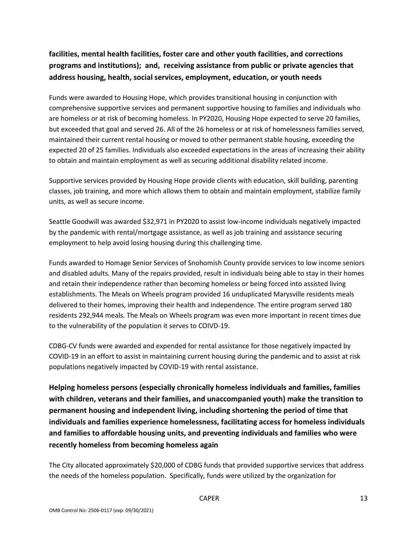## **facilities, mental health facilities, foster care and other youth facilities, and corrections programs and institutions); and, receiving assistance from public or private agencies that address housing, health, social services, employment, education, or youth needs**

Funds were awarded to Housing Hope, which provides transitional housing in conjunction with comprehensive supportive services and permanent supportive housing to families and individuals who are homeless or at risk of becoming homeless. In PY2020, Housing Hope expected to serve 20 families, but exceeded that goal and served 26. All of the 26 homeless or at risk of homelessness families served, maintained their current rental housing or moved to other permanent stable housing, exceeding the expected 20 of 25 families. Individuals also exceeded expectations in the areas of increasing their ability to obtain and maintain employment as well as securing additional disability related income.

Supportive services provided by Housing Hope provide clients with education, skill building, parenting classes, job training, and more which allows them to obtain and maintain employment, stabilize family units, as well as secure income.

Seattle Goodwill was awarded \$32,971 in PY2020 to assist low-income individuals negatively impacted by the pandemic with rental/mortgage assistance, as well as job training and assistance securing employment to help avoid losing housing during this challenging time.

Funds awarded to Homage Senior Services of Snohomish County provide services to low income seniors and disabled adults. Many of the repairs provided, result in individuals being able to stay in their homes and retain their independence rather than becoming homeless or being forced into assisted living establishments. The Meals on Wheels program provided 16 unduplicated Marysville residents meals delivered to their homes, improving their health and independence. The entire program served 180 residents 292,944 meals. The Meals on Wheels program was even more important in recent times due to the vulnerability of the population it serves to COIVD-19.

CDBG-CV funds were awarded and expended for rental assistance for those negatively impacted by COVID-19 in an effort to assist in maintaining current housing during the pandemic and to assist at risk populations negatively impacted by COVID-19 with rental assistance.

**Helping homeless persons (especially chronically homeless individuals and families, families with children, veterans and their families, and unaccompanied youth) make the transition to permanent housing and independent living, including shortening the period of time that individuals and families experience homelessness, facilitating access for homeless individuals and families to affordable housing units, and preventing individuals and families who were recently homeless from becoming homeless again** 

The City allocated approximately \$20,000 of CDBG funds that provided supportive services that address the needs of the homeless population. Specifically, funds were utilized by the organization for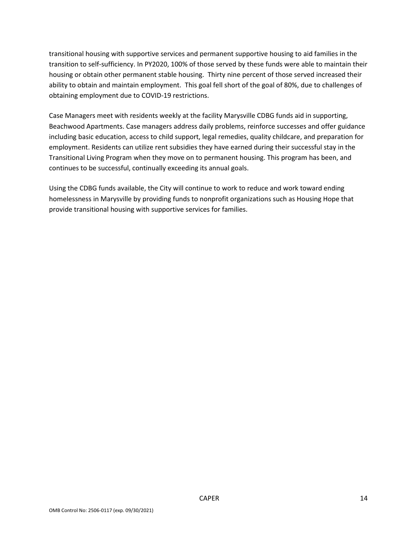transitional housing with supportive services and permanent supportive housing to aid families in the transition to self-sufficiency. In PY2020, 100% of those served by these funds were able to maintain their housing or obtain other permanent stable housing. Thirty nine percent of those served increased their ability to obtain and maintain employment. This goal fell short of the goal of 80%, due to challenges of obtaining employment due to COVID-19 restrictions.

Case Managers meet with residents weekly at the facility Marysville CDBG funds aid in supporting, Beachwood Apartments. Case managers address daily problems, reinforce successes and offer guidance including basic education, access to child support, legal remedies, quality childcare, and preparation for employment. Residents can utilize rent subsidies they have earned during their successful stay in the Transitional Living Program when they move on to permanent housing. This program has been, and continues to be successful, continually exceeding its annual goals.

Using the CDBG funds available, the City will continue to work to reduce and work toward ending homelessness in Marysville by providing funds to nonprofit organizations such as Housing Hope that provide transitional housing with supportive services for families.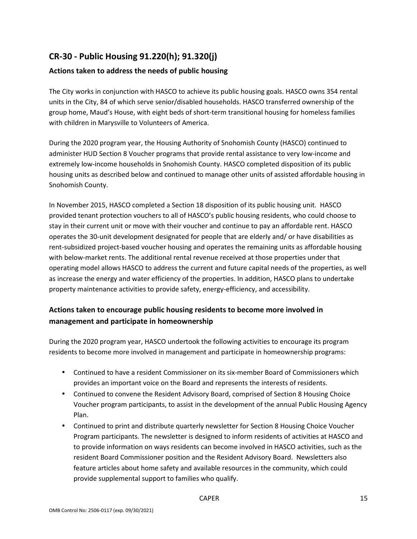## **CR-30 - Public Housing 91.220(h); 91.320(j)**

#### **Actions taken to address the needs of public housing**

The City works in conjunction with HASCO to achieve its public housing goals. HASCO owns 354 rental units in the City, 84 of which serve senior/disabled households. HASCO transferred ownership of the group home, Maud's House, with eight beds of short-term transitional housing for homeless families with children in Marysville to Volunteers of America.

During the 2020 program year, the Housing Authority of Snohomish County (HASCO) continued to administer HUD Section 8 Voucher programs that provide rental assistance to very low-income and extremely low-income households in Snohomish County. HASCO completed disposition of its public housing units as described below and continued to manage other units of assisted affordable housing in Snohomish County.

In November 2015, HASCO completed a Section 18 disposition of its public housing unit. HASCO provided tenant protection vouchers to all of HASCO's public housing residents, who could choose to stay in their current unit or move with their voucher and continue to pay an affordable rent. HASCO operates the 30-unit development designated for people that are elderly and/ or have disabilities as rent-subsidized project-based voucher housing and operates the remaining units as affordable housing with below-market rents. The additional rental revenue received at those properties under that operating model allows HASCO to address the current and future capital needs of the properties, as well as increase the energy and water efficiency of the properties. In addition, HASCO plans to undertake property maintenance activities to provide safety, energy-efficiency, and accessibility.

## **Actions taken to encourage public housing residents to become more involved in management and participate in homeownership**

During the 2020 program year, HASCO undertook the following activities to encourage its program residents to become more involved in management and participate in homeownership programs:

- Continued to have a resident Commissioner on its six-member Board of Commissioners which provides an important voice on the Board and represents the interests of residents.
- Continued to convene the Resident Advisory Board, comprised of Section 8 Housing Choice Voucher program participants, to assist in the development of the annual Public Housing Agency Plan.
- Continued to print and distribute quarterly newsletter for Section 8 Housing Choice Voucher Program participants. The newsletter is designed to inform residents of activities at HASCO and to provide information on ways residents can become involved in HASCO activities, such as the resident Board Commissioner position and the Resident Advisory Board. Newsletters also feature articles about home safety and available resources in the community, which could provide supplemental support to families who qualify.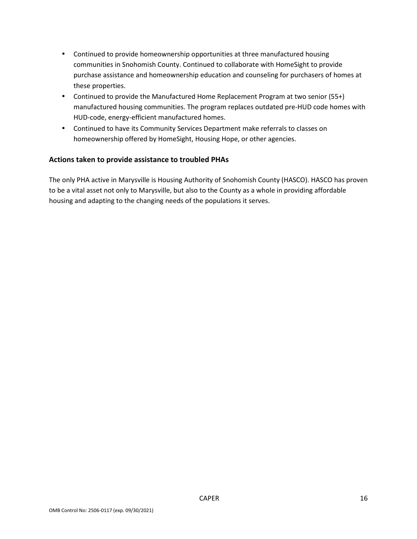- Continued to provide homeownership opportunities at three manufactured housing communities in Snohomish County. Continued to collaborate with HomeSight to provide purchase assistance and homeownership education and counseling for purchasers of homes at these properties.
- Continued to provide the Manufactured Home Replacement Program at two senior (55+) manufactured housing communities. The program replaces outdated pre-HUD code homes with HUD-code, energy-efficient manufactured homes.
- Continued to have its Community Services Department make referrals to classes on homeownership offered by HomeSight, Housing Hope, or other agencies.

#### **Actions taken to provide assistance to troubled PHAs**

The only PHA active in Marysville is Housing Authority of Snohomish County (HASCO). HASCO has proven to be a vital asset not only to Marysville, but also to the County as a whole in providing affordable housing and adapting to the changing needs of the populations it serves.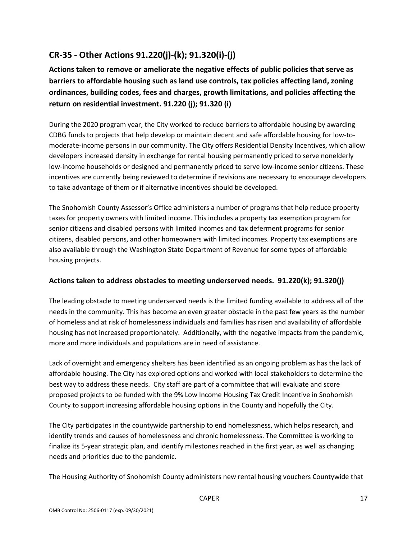## **CR-35 - Other Actions 91.220(j)-(k); 91.320(i)-(j)**

**Actions taken to remove or ameliorate the negative effects of public policies that serve as barriers to affordable housing such as land use controls, tax policies affecting land, zoning ordinances, building codes, fees and charges, growth limitations, and policies affecting the return on residential investment. 91.220 (j); 91.320 (i)** 

During the 2020 program year, the City worked to reduce barriers to affordable housing by awarding CDBG funds to projects that help develop or maintain decent and safe affordable housing for low-tomoderate-income persons in our community. The City offers Residential Density Incentives, which allow developers increased density in exchange for rental housing permanently priced to serve nonelderly low-income households or designed and permanently priced to serve low-income senior citizens. These incentives are currently being reviewed to determine if revisions are necessary to encourage developers to take advantage of them or if alternative incentives should be developed.

The Snohomish County Assessor's Office administers a number of programs that help reduce property taxes for property owners with limited income. This includes a property tax exemption program for senior citizens and disabled persons with limited incomes and tax deferment programs for senior citizens, disabled persons, and other homeowners with limited incomes. Property tax exemptions are also available through the Washington State Department of Revenue for some types of affordable housing projects.

#### **Actions taken to address obstacles to meeting underserved needs. 91.220(k); 91.320(j)**

The leading obstacle to meeting underserved needs is the limited funding available to address all of the needs in the community. This has become an even greater obstacle in the past few years as the number of homeless and at risk of homelessness individuals and families has risen and availability of affordable housing has not increased proportionately. Additionally, with the negative impacts from the pandemic, more and more individuals and populations are in need of assistance.

Lack of overnight and emergency shelters has been identified as an ongoing problem as has the lack of affordable housing. The City has explored options and worked with local stakeholders to determine the best way to address these needs. City staff are part of a committee that will evaluate and score proposed projects to be funded with the 9% Low Income Housing Tax Credit Incentive in Snohomish County to support increasing affordable housing options in the County and hopefully the City.

The City participates in the countywide partnership to end homelessness, which helps research, and identify trends and causes of homelessness and chronic homelessness. The Committee is working to finalize its 5-year strategic plan, and identify milestones reached in the first year, as well as changing needs and priorities due to the pandemic.

The Housing Authority of Snohomish County administers new rental housing vouchers Countywide that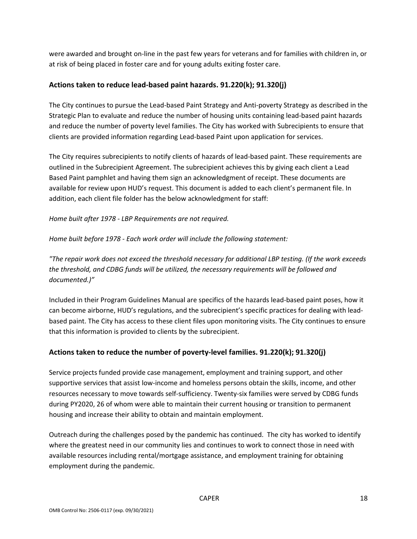were awarded and brought on-line in the past few years for veterans and for families with children in, or at risk of being placed in foster care and for young adults exiting foster care.

#### **Actions taken to reduce lead-based paint hazards. 91.220(k); 91.320(j)**

The City continues to pursue the Lead-based Paint Strategy and Anti-poverty Strategy as described in the Strategic Plan to evaluate and reduce the number of housing units containing lead-based paint hazards and reduce the number of poverty level families. The City has worked with Subrecipients to ensure that clients are provided information regarding Lead-based Paint upon application for services.

The City requires subrecipients to notify clients of hazards of lead-based paint. These requirements are outlined in the Subrecipient Agreement. The subrecipient achieves this by giving each client a Lead Based Paint pamphlet and having them sign an acknowledgment of receipt. These documents are available for review upon HUD's request. This document is added to each client's permanent file. In addition, each client file folder has the below acknowledgment for staff:

*Home built after 1978 - LBP Requirements are not required.*

*Home built before 1978 - Each work order will include the following statement:*

*"The repair work does not exceed the threshold necessary for additional LBP testing. (If the work exceeds the threshold, and CDBG funds will be utilized, the necessary requirements will be followed and documented.)"*

Included in their Program Guidelines Manual are specifics of the hazards lead-based paint poses, how it can become airborne, HUD's regulations, and the subrecipient's specific practices for dealing with leadbased paint. The City has access to these client files upon monitoring visits. The City continues to ensure that this information is provided to clients by the subrecipient.

#### **Actions taken to reduce the number of poverty-level families. 91.220(k); 91.320(j)**

Service projects funded provide case management, employment and training support, and other supportive services that assist low-income and homeless persons obtain the skills, income, and other resources necessary to move towards self-sufficiency. Twenty-six families were served by CDBG funds during PY2020, 26 of whom were able to maintain their current housing or transition to permanent housing and increase their ability to obtain and maintain employment.

Outreach during the challenges posed by the pandemic has continued. The city has worked to identify where the greatest need in our community lies and continues to work to connect those in need with available resources including rental/mortgage assistance, and employment training for obtaining employment during the pandemic.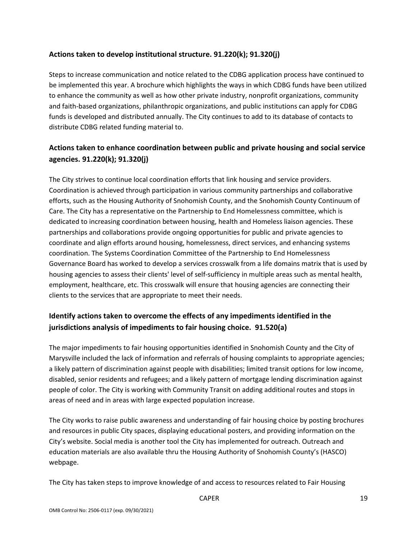#### **Actions taken to develop institutional structure. 91.220(k); 91.320(j)**

Steps to increase communication and notice related to the CDBG application process have continued to be implemented this year. A brochure which highlights the ways in which CDBG funds have been utilized to enhance the community as well as how other private industry, nonprofit organizations, community and faith-based organizations, philanthropic organizations, and public institutions can apply for CDBG funds is developed and distributed annually. The City continues to add to its database of contacts to distribute CDBG related funding material to.

## **Actions taken to enhance coordination between public and private housing and social service agencies. 91.220(k); 91.320(j)**

The City strives to continue local coordination efforts that link housing and service providers. Coordination is achieved through participation in various community partnerships and collaborative efforts, such as the Housing Authority of Snohomish County, and the Snohomish County Continuum of Care. The City has a representative on the Partnership to End Homelessness committee, which is dedicated to increasing coordination between housing, health and Homeless liaison agencies. These partnerships and collaborations provide ongoing opportunities for public and private agencies to coordinate and align efforts around housing, homelessness, direct services, and enhancing systems coordination. The Systems Coordination Committee of the Partnership to End Homelessness Governance Board has worked to develop a services crosswalk from a life domains matrix that is used by housing agencies to assess their clients' level of self-sufficiency in multiple areas such as mental health, employment, healthcare, etc. This crosswalk will ensure that housing agencies are connecting their clients to the services that are appropriate to meet their needs.

## **Identify actions taken to overcome the effects of any impediments identified in the jurisdictions analysis of impediments to fair housing choice. 91.520(a)**

The major impediments to fair housing opportunities identified in Snohomish County and the City of Marysville included the lack of information and referrals of housing complaints to appropriate agencies; a likely pattern of discrimination against people with disabilities; limited transit options for low income, disabled, senior residents and refugees; and a likely pattern of mortgage lending discrimination against people of color. The City is working with Community Transit on adding additional routes and stops in areas of need and in areas with large expected population increase.

The City works to raise public awareness and understanding of fair housing choice by posting brochures and resources in public City spaces, displaying educational posters, and providing information on the City's website. Social media is another tool the City has implemented for outreach. Outreach and education materials are also available thru the Housing Authority of Snohomish County's (HASCO) webpage.

The City has taken steps to improve knowledge of and access to resources related to Fair Housing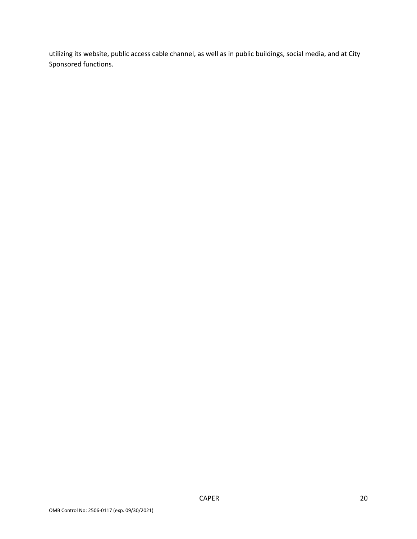utilizing its website, public access cable channel, as well as in public buildings, social media, and at City Sponsored functions.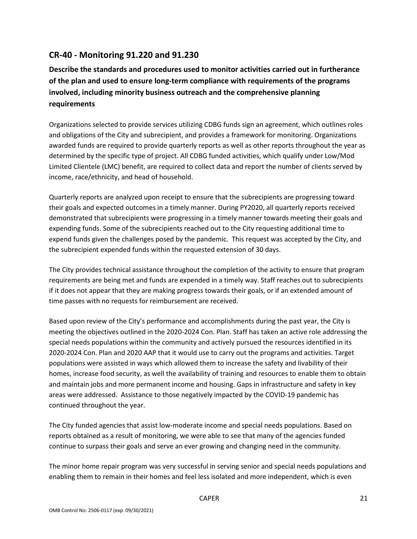## **CR-40 - Monitoring 91.220 and 91.230**

**Describe the standards and procedures used to monitor activities carried out in furtherance of the plan and used to ensure long-term compliance with requirements of the programs involved, including minority business outreach and the comprehensive planning requirements** 

Organizations selected to provide services utilizing CDBG funds sign an agreement, which outlines roles and obligations of the City and subrecipient, and provides a framework for monitoring. Organizations awarded funds are required to provide quarterly reports as well as other reports throughout the year as determined by the specific type of project. All CDBG funded activities, which qualify under Low/Mod Limited Clientele (LMC) benefit, are required to collect data and report the number of clients served by income, race/ethnicity, and head of household.

Quarterly reports are analyzed upon receipt to ensure that the subrecipients are progressing toward their goals and expected outcomes in a timely manner. During PY2020, all quarterly reports received demonstrated that subrecipients were progressing in a timely manner towards meeting their goals and expending funds. Some of the subrecipients reached out to the City requesting additional time to expend funds given the challenges posed by the pandemic. This request was accepted by the City, and the subrecipient expended funds within the requested extension of 30 days.

The City provides technical assistance throughout the completion of the activity to ensure that program requirements are being met and funds are expended in a timely way. Staff reaches out to subrecipients if it does not appear that they are making progress towards their goals, or if an extended amount of time passes with no requests for reimbursement are received.

Based upon review of the City's performance and accomplishments during the past year, the City is meeting the objectives outlined in the 2020-2024 Con. Plan. Staff has taken an active role addressing the special needs populations within the community and actively pursued the resources identified in its 2020-2024 Con. Plan and 2020 AAP that it would use to carry out the programs and activities. Target populations were assisted in ways which allowed them to increase the safety and livability of their homes, increase food security, as well the availability of training and resources to enable them to obtain and maintain jobs and more permanent income and housing. Gaps in infrastructure and safety in key areas were addressed. Assistance to those negatively impacted by the COVID-19 pandemic has continued throughout the year.

The City funded agencies that assist low-moderate income and special needs populations. Based on reports obtained as a result of monitoring, we were able to see that many of the agencies funded continue to surpass their goals and serve an ever growing and changing need in the community.

The minor home repair program was very successful in serving senior and special needs populations and enabling them to remain in their homes and feel less isolated and more independent, which is even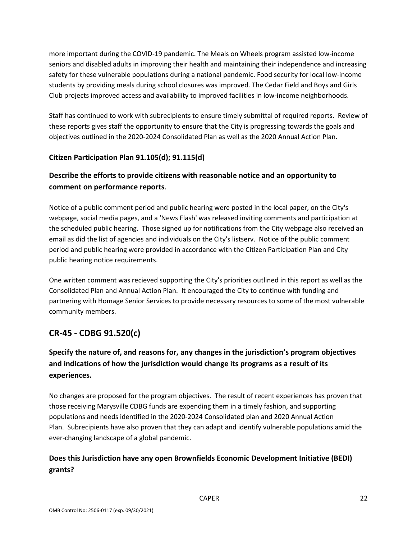more important during the COVID-19 pandemic. The Meals on Wheels program assisted low-income seniors and disabled adults in improving their health and maintaining their independence and increasing safety for these vulnerable populations during a national pandemic. Food security for local low-income students by providing meals during school closures was improved. The Cedar Field and Boys and Girls Club projects improved access and availability to improved facilities in low-income neighborhoods.

Staff has continued to work with subrecipients to ensure timely submittal of required reports. Review of these reports gives staff the opportunity to ensure that the City is progressing towards the goals and objectives outlined in the 2020-2024 Consolidated Plan as well as the 2020 Annual Action Plan.

#### **Citizen Participation Plan 91.105(d); 91.115(d)**

## **Describe the efforts to provide citizens with reasonable notice and an opportunity to comment on performance reports**.

Notice of a public comment period and public hearing were posted in the local paper, on the City's webpage, social media pages, and a 'News Flash' was released inviting comments and participation at the scheduled public hearing. Those signed up for notifications from the City webpage also received an email as did the list of agencies and individuals on the City's listserv. Notice of the public comment period and public hearing were provided in accordance with the Citizen Participation Plan and City public hearing notice requirements.

One written comment was recieved supporting the City's priorities outlined in this report as well as the Consolidated Plan and Annual Action Plan. It encouraged the City to continue with funding and partnering with Homage Senior Services to provide necessary resources to some of the most vulnerable community members.

## **CR-45 - CDBG 91.520(c)**

## **Specify the nature of, and reasons for, any changes in the jurisdiction's program objectives and indications of how the jurisdiction would change its programs as a result of its experiences.**

No changes are proposed for the program objectives. The result of recent experiences has proven that those receiving Marysville CDBG funds are expending them in a timely fashion, and supporting populations and needs identified in the 2020-2024 Consolidated plan and 2020 Annual Action Plan. Subrecipients have also proven that they can adapt and identify vulnerable populations amid the ever-changing landscape of a global pandemic.

## **Does this Jurisdiction have any open Brownfields Economic Development Initiative (BEDI) grants?**